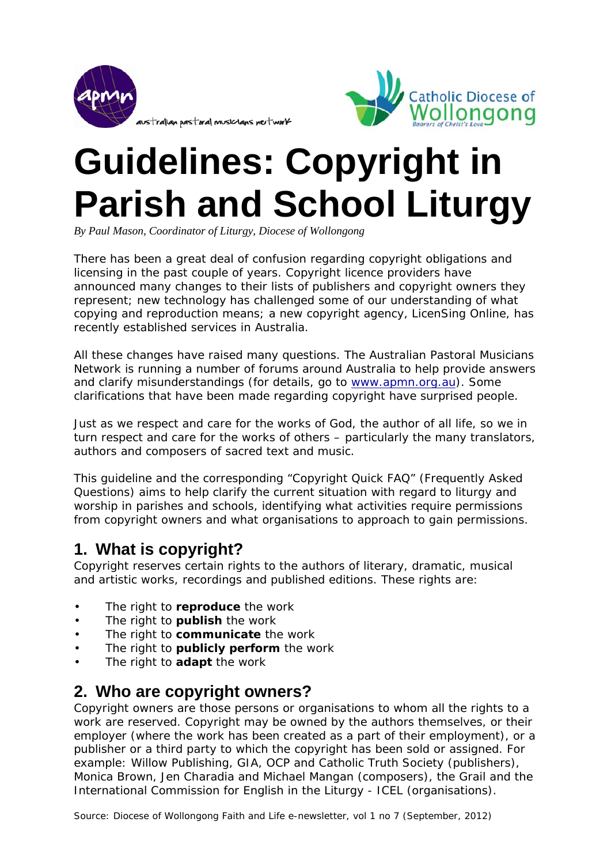



# **Guidelines: Copyright in Parish and School Liturgy**

*By Paul Mason, Coordinator of Liturgy, Diocese of Wollongong* 

There has been a great deal of confusion regarding copyright obligations and licensing in the past couple of years. Copyright licence providers have announced many changes to their lists of publishers and copyright owners they represent; new technology has challenged some of our understanding of what copying and reproduction means; a new copyright agency, *LicenSing Online*, has recently established services in Australia.

All these changes have raised many questions. The Australian Pastoral Musicians Network is running a number of forums around Australia to help provide answers and clarify misunderstandings (for details, go to www.apmn.org.au). Some clarifications that have been made regarding copyright have surprised people.

Just as we respect and care for the works of God, the author of all life, so we in turn respect and care for the works of others – particularly the many translators, authors and composers of sacred text and music.

This guideline and the corresponding "Copyright Quick FAQ" (Frequently Asked Questions) aims to help clarify the current situation with regard to liturgy and worship in parishes and schools, identifying what activities require permissions from copyright owners and what organisations to approach to gain permissions.

## **1. What is copyright?**

Copyright reserves certain rights to the authors of literary, dramatic, musical and artistic works, recordings and published editions. These rights are:

- The right to **reproduce** the work
- The right to **publish** the work
- The right to **communicate** the work
- The right to **publicly perform** the work
- The right to **adapt** the work

## **2. Who are copyright owners?**

Copyright owners are those persons or organisations to whom all the rights to a work are reserved. Copyright may be owned by the authors themselves, or their employer (where the work has been created as a part of their employment), or a publisher or a third party to which the copyright has been sold or assigned. For example: Willow Publishing, GIA, OCP and Catholic Truth Society (publishers), Monica Brown, Jen Charadia and Michael Mangan (composers), the Grail and the International Commission for English in the Liturgy - ICEL (organisations).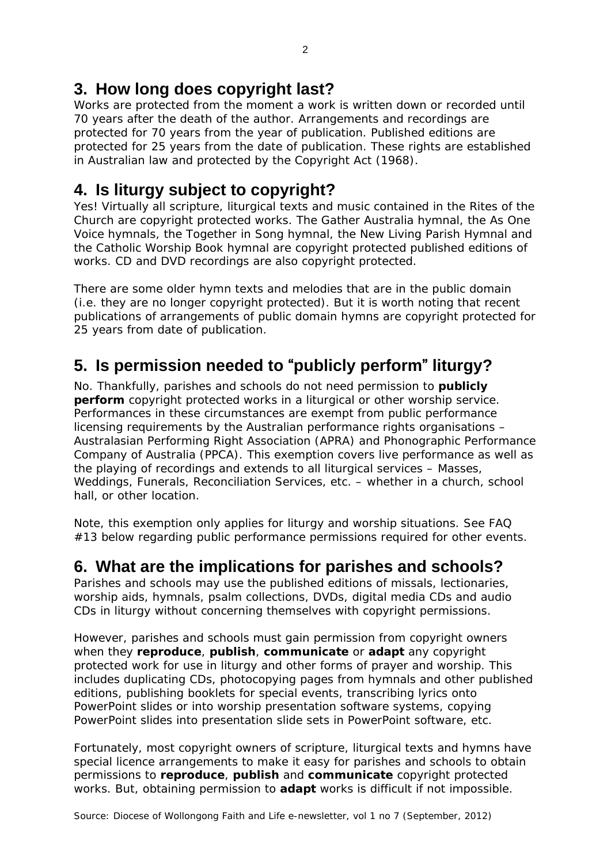## **3. How long does copyright last?**

Works are protected from the moment a work is written down or recorded until 70 years after the death of the author. Arrangements and recordings are protected for 70 years from the year of publication. Published editions are protected for 25 years from the date of publication. These rights are established in Australian law and protected by the *Copyright Act (1968)*.

## **4. Is liturgy subject to copyright?**

Yes! Virtually all scripture, liturgical texts and music contained in the Rites of the Church are copyright protected works. The Gather Australia hymnal, the As One Voice hymnals, the Together in Song hymnal, the New Living Parish Hymnal and the Catholic Worship Book hymnal are copyright protected published editions of works. CD and DVD recordings are also copyright protected.

There are some older hymn texts and melodies that are in the public domain (i.e. they are no longer copyright protected). But it is worth noting that recent publications of arrangements of public domain hymns are copyright protected for 25 years from date of publication.

## **5. Is permission needed to** "**publicly perform**" **liturgy?**

No. Thankfully, parishes and schools do not need permission to **publicly perform** copyright protected works in a liturgical or other worship service. Performances in these circumstances are exempt from public performance licensing requirements by the Australian performance rights organisations – Australasian Performing Right Association (APRA) and Phonographic Performance Company of Australia (PPCA). This exemption covers live performance as well as the playing of recordings and extends to all liturgical services – Masses, Weddings, Funerals, Reconciliation Services, etc. – whether in a church, school hall, or other location.

Note, this exemption only applies for liturgy and worship situations. See FAQ #13 below regarding public performance permissions required for other events.

## **6. What are the implications for parishes and schools?**

Parishes and schools may use the published editions of missals, lectionaries, worship aids, hymnals, psalm collections, DVDs, digital media CDs and audio CDs in liturgy without concerning themselves with copyright permissions.

However, parishes and schools must gain permission from copyright owners when they **reproduce**, **publish**, **communicate** or **adapt** any copyright protected work for use in liturgy and other forms of prayer and worship. This includes duplicating CDs, photocopying pages from hymnals and other published editions, publishing booklets for special events, transcribing lyrics onto PowerPoint slides or into worship presentation software systems, copying PowerPoint slides into presentation slide sets in PowerPoint software, etc.

Fortunately, most copyright owners of scripture, liturgical texts and hymns have special licence arrangements to make it easy for parishes and schools to obtain permissions to **reproduce**, **publish** and **communicate** copyright protected works. But, obtaining permission to **adapt** works is difficult if not impossible.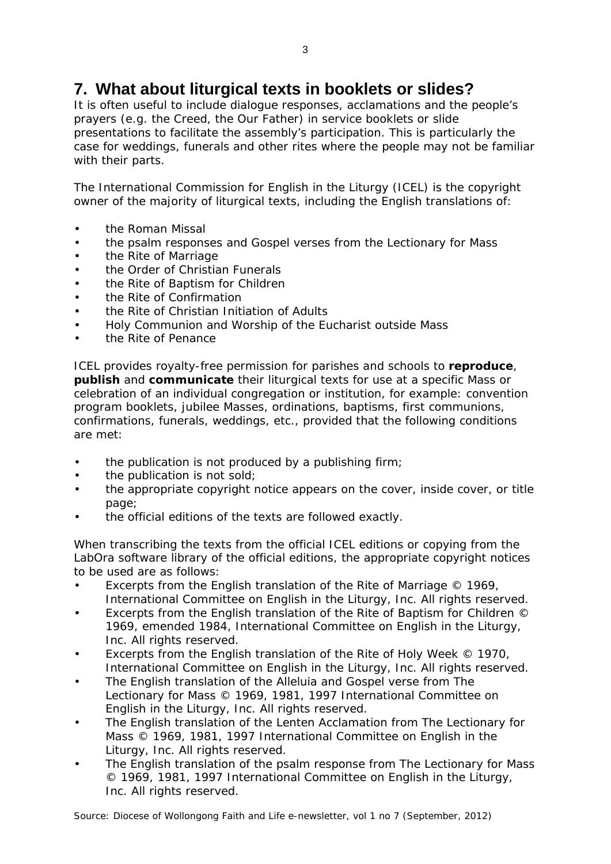## **7. What about liturgical texts in booklets or slides?**

It is often useful to include dialogue responses, acclamations and the people's prayers (e.g. the Creed, the Our Father) in service booklets or slide presentations to facilitate the assembly's participation. This is particularly the case for weddings, funerals and other rites where the people may not be familiar with their parts.

The International Commission for English in the Liturgy (ICEL) is the copyright owner of the majority of liturgical texts, including the English translations of:

- the *Roman Missal*
- the psalm responses and Gospel verses from the *Lectionary for Mass*
- the *Rite of Marriage*
- the *Order of Christian Funerals*
- the *Rite of Baptism for Children*
- the *Rite of Confirmation*
- the *Rite of Christian Initiation of Adults*
- *Holy Communion and Worship of the Eucharist outside Mass*
- the *Rite of Penance*

ICEL provides royalty-free permission for parishes and schools to **reproduce**, **publish** and **communicate** their liturgical texts for use at a specific Mass or celebration of an individual congregation or institution, for example: convention program booklets, jubilee Masses, ordinations, baptisms, first communions, confirmations, funerals, weddings, etc., *provided* that the following conditions are met:

- the publication is not produced by a publishing firm;
- the publication is not sold;
- the appropriate copyright notice appears on the cover, inside cover, or title page;
- the official editions of the texts are followed exactly.

When transcribing the texts from the official ICEL editions or copying from the LabOra software library of the official editions, the appropriate copyright notices to be used are as follows:

- Excerpts from the English translation of the *Rite of Marriage* © 1969, International Committee on English in the Liturgy, Inc. All rights reserved.
- Excerpts from the English translation of the *Rite of Baptism for Children* © 1969, emended 1984, International Committee on English in the Liturgy, Inc. All rights reserved.
- Excerpts from the English translation of the *Rite of Holy Week* © 1970, International Committee on English in the Liturgy, Inc. All rights reserved.
- The English translation of the Alleluia and Gospel verse from *The Lectionary for Mass* © 1969, 1981, 1997 International Committee on English in the Liturgy, Inc. All rights reserved.
- The English translation of the Lenten Acclamation from *The Lectionary for Mass* © 1969, 1981, 1997 International Committee on English in the Liturgy, Inc. All rights reserved.
- The English translation of the psalm response from *The Lectionary for Mass* © 1969, 1981, 1997 International Committee on English in the Liturgy, Inc. All rights reserved.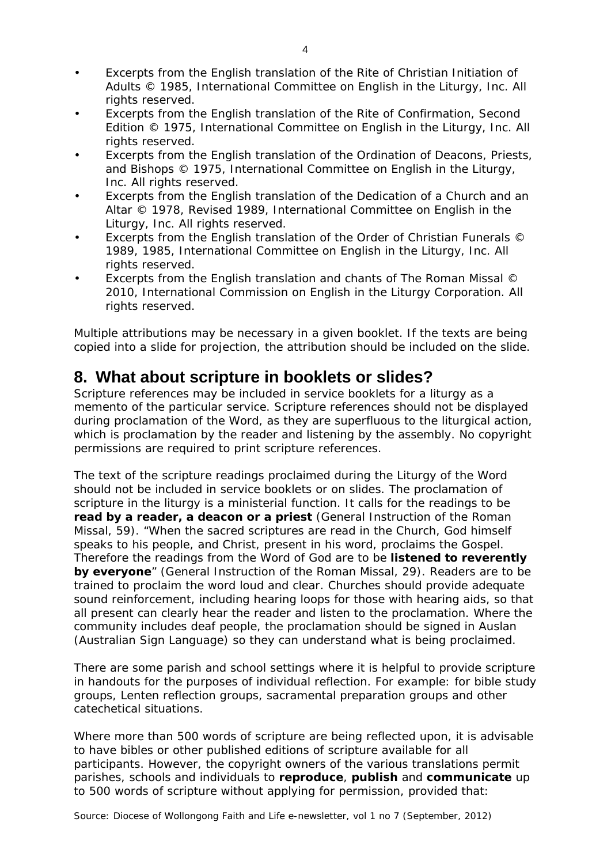- Excerpts from the English translation of the *Rite of Christian Initiation of Adults* © 1985, International Committee on English in the Liturgy, Inc. All rights reserved.
- Excerpts from the English translation of the *Rite of Confirmation*, Second Edition © 1975, International Committee on English in the Liturgy, Inc. All rights reserved.
- Excerpts from the English translation of the *Ordination of Deacons, Priests, and Bishops* © 1975, International Committee on English in the Liturgy, Inc. All rights reserved.
- Excerpts from the English translation of the *Dedication of a Church and an Altar* © 1978, Revised 1989, International Committee on English in the Liturgy, Inc. All rights reserved.
- Excerpts from the English translation of the *Order of Christian Funerals* © 1989, 1985, International Committee on English in the Liturgy, Inc. All rights reserved.
- Excerpts from the English translation and chants of *The Roman Missal* © 2010, International Commission on English in the Liturgy Corporation. All rights reserved.

Multiple attributions may be necessary in a given booklet. If the texts are being copied into a slide for projection, the attribution should be included on the slide.

#### **8. What about scripture in booklets or slides?**

Scripture references may be included in service booklets for a liturgy as a memento of the particular service. Scripture references should not be displayed during proclamation of the Word, as they are superfluous to the liturgical action, which is proclamation by the reader and listening by the assembly. No copyright permissions are required to print scripture references.

The text of the scripture readings proclaimed during the Liturgy of the Word should not be included in service booklets or on slides. The proclamation of scripture in the liturgy is a ministerial function. It calls for the readings to be **read by a reader, a deacon or a priest** (*General Instruction of the Roman Missal*, 59). "When the sacred scriptures are read in the Church, God himself speaks to his people, and Christ, present in his word, proclaims the Gospel. Therefore the readings from the Word of God are to be **listened to reverently by everyone**" (G*eneral Instruction of the Roman Missal,* 29). Readers are to be trained to proclaim the word loud and clear. Churches should provide adequate sound reinforcement, including hearing loops for those with hearing aids, so that all present can clearly hear the reader and listen to the proclamation. Where the community includes deaf people, the proclamation should be signed in Auslan (Australian Sign Language) so they can understand what is being proclaimed.

There are some parish and school settings where it is helpful to provide scripture in handouts for the purposes of individual reflection. For example: for bible study groups, Lenten reflection groups, sacramental preparation groups and other catechetical situations.

Where more than 500 words of scripture are being reflected upon, it is advisable to have bibles or other published editions of scripture available for all participants. However, the copyright owners of the various translations permit parishes, schools and individuals to **reproduce**, **publish** and **communicate** up to 500 words of scripture without applying for permission, provided that: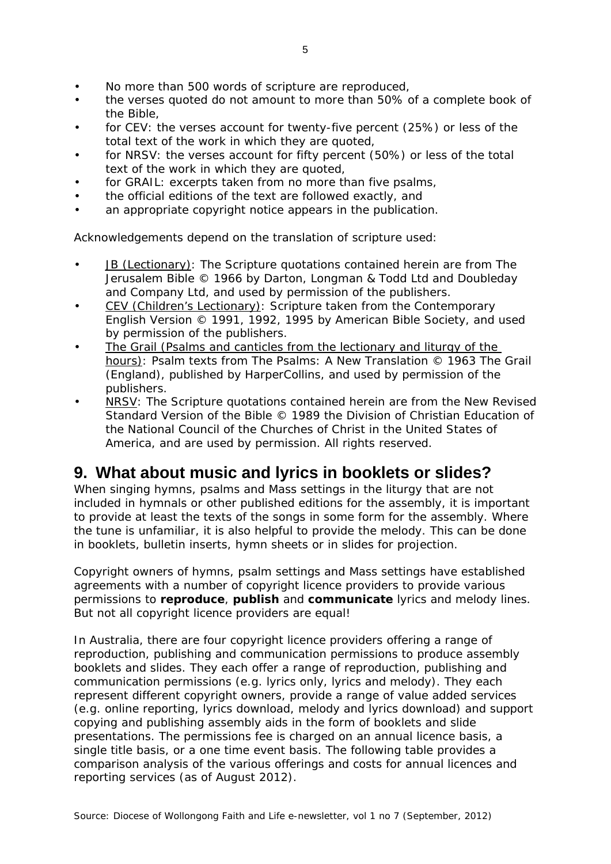- No more than 500 words of scripture are reproduced.
- the verses quoted do not amount to more than 50% of a complete book of the Bible,
- for CEV: the verses account for twenty-five percent (25%) or less of the total text of the work in which they are quoted,
- for NRSV: the verses account for fifty percent (50%) or less of the total text of the work in which they are quoted,
- for GRAIL: excerpts taken from no more than five psalms,
- the official editions of the text are followed exactly, and
- an appropriate copyright notice appears in the publication.

Acknowledgements depend on the translation of scripture used:

- JB (Lectionary): The Scripture quotations contained herein are from *The Jerusalem Bible* © 1966 by Darton, Longman & Todd Ltd and Doubleday and Company Ltd, and used by permission of the publishers.
- CEV (Children's Lectionary): Scripture taken from the *Contemporary English Version* © 1991, 1992, 1995 by American Bible Society, and used by permission of the publishers.
- The Grail (Psalms and canticles from the lectionary and liturgy of the hours): Psalm texts from *The Psalms: A New Translation* © 1963 The Grail (England), published by HarperCollins, and used by permission of the publishers.
- NRSV: The Scripture quotations contained herein are from the *New Revised Standard Version* of the Bible © 1989 the Division of Christian Education of the National Council of the Churches of Christ in the United States of America, and are used by permission. All rights reserved.

#### **9. What about music and lyrics in booklets or slides?**

When singing hymns, psalms and Mass settings in the liturgy that are not included in hymnals or other published editions for the assembly, it is important to provide at least the texts of the songs in some form for the assembly. Where the tune is unfamiliar, it is also helpful to provide the melody. This can be done in booklets, bulletin inserts, hymn sheets or in slides for projection.

Copyright owners of hymns, psalm settings and Mass settings have established agreements with a number of copyright licence providers to provide various permissions to **reproduce**, **publish** and **communicate** lyrics and melody lines. But not all copyright licence providers are equal!

In Australia, there are four copyright licence providers offering a range of reproduction, publishing and communication permissions to produce assembly booklets and slides. They each offer a range of reproduction, publishing and communication permissions (e.g. lyrics only, lyrics and melody). They each represent different copyright owners, provide a range of value added services (e.g. online reporting, lyrics download, melody and lyrics download) and support copying and publishing assembly aids in the form of booklets and slide presentations. The permissions fee is charged on an annual licence basis, a single title basis, or a one time event basis. The following table provides a comparison analysis of the various offerings and costs for annual licences and reporting services (as of August 2012).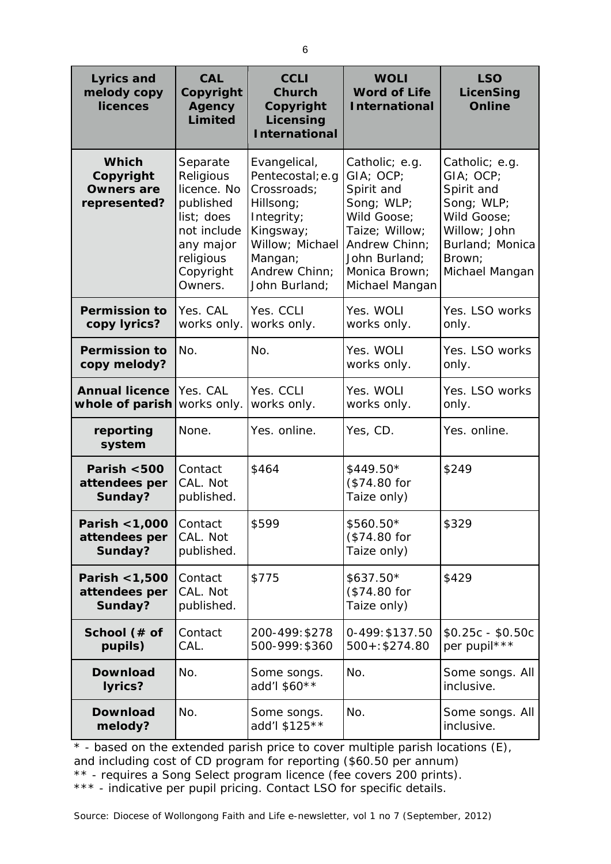| <b>Lyrics and</b><br>melody copy<br><b>licences</b>            | <b>CAL</b><br>Copyright<br>Agency<br><b>Limited</b>                                                                              | <b>CCLI</b><br><b>Church</b><br>Copyright<br>Licensing<br><b>International</b>                                                                          | <b>WOLI</b><br><b>Word of Life</b><br><b>International</b>                                                                                                    | <b>LSO</b><br>LicenSing<br><b>Online</b>                                                                                              |
|----------------------------------------------------------------|----------------------------------------------------------------------------------------------------------------------------------|---------------------------------------------------------------------------------------------------------------------------------------------------------|---------------------------------------------------------------------------------------------------------------------------------------------------------------|---------------------------------------------------------------------------------------------------------------------------------------|
| <b>Which</b><br>Copyright<br><b>Owners are</b><br>represented? | Separate<br>Religious<br>licence. No<br>published<br>list; does<br>not include<br>any major<br>religious<br>Copyright<br>Owners. | Evangelical,<br>Pentecostal; e.g<br>Crossroads;<br>Hillsong;<br>Integrity;<br>Kingsway;<br>Willow; Michael<br>Mangan;<br>Andrew Chinn;<br>John Burland; | Catholic; e.g.<br>GIA; OCP;<br>Spirit and<br>Song; WLP;<br>Wild Goose;<br>Taize; Willow;<br>Andrew Chinn;<br>John Burland;<br>Monica Brown;<br>Michael Mangan | Catholic; e.g.<br>GIA; OCP;<br>Spirit and<br>Song; WLP;<br>Wild Goose;<br>Willow; John<br>Burland; Monica<br>Brown:<br>Michael Mangan |
| <b>Permission to</b><br>copy lyrics?                           | Yes. CAL<br>works only.                                                                                                          | Yes. CCLI<br>works only.                                                                                                                                | Yes. WOLI<br>works only.                                                                                                                                      | Yes. LSO works<br>only.                                                                                                               |
| <b>Permission to</b><br>copy melody?                           | No.                                                                                                                              | No.                                                                                                                                                     | Yes. WOLI<br>works only.                                                                                                                                      | Yes. LSO works<br>only.                                                                                                               |
| <b>Annual licence</b><br>whole of parish                       | Yes. CAL<br>works only.                                                                                                          | Yes. CCLI<br>works only.                                                                                                                                | Yes. WOLI<br>works only.                                                                                                                                      | Yes. LSO works<br>only.                                                                                                               |
| reporting<br>system                                            | None.                                                                                                                            | Yes. online.                                                                                                                                            | Yes, CD.                                                                                                                                                      | Yes. online.                                                                                                                          |
| Parish <500<br>attendees per<br>Sunday?                        | Contact<br>CAL. Not<br>published.                                                                                                | \$464                                                                                                                                                   | $$449.50*$<br>(\$74.80 for<br>Taize only)                                                                                                                     | \$249                                                                                                                                 |
| Parish < 1,000  <br>attendees per<br>Sunday?                   | Contact<br>CAL. Not<br>published.                                                                                                | \$599                                                                                                                                                   | \$560.50*<br>(\$74.80 for<br>Taize only)                                                                                                                      | \$329                                                                                                                                 |
| Parish < 1,500<br>attendees per<br>Sunday?                     | Contact<br>CAL. Not<br>published.                                                                                                | \$775                                                                                                                                                   | \$637.50*<br>(\$74.80 for<br>Taize only)                                                                                                                      | \$429                                                                                                                                 |
| School (# of<br>pupils)                                        | Contact<br>CAL.                                                                                                                  | 200-499: \$278<br>500-999: \$360                                                                                                                        | 0-499: \$137.50<br>$500 + 1$ \$274.80                                                                                                                         | $$0.25c - $0.50c$<br>per pupil***                                                                                                     |
| <b>Download</b><br>lyrics?                                     | No.                                                                                                                              | Some songs.<br>add'l \$60**                                                                                                                             | No.                                                                                                                                                           | Some songs. All<br>inclusive.                                                                                                         |
| <b>Download</b><br>melody?                                     | No.                                                                                                                              | Some songs.<br>add'l \$125**                                                                                                                            | No.                                                                                                                                                           | Some songs. All<br>inclusive.                                                                                                         |

\* - based on the extended parish price to cover multiple parish locations (E), and including cost of CD program for reporting (\$60.50 per annum) \*\* - requires a Song Select program licence (fee covers 200 prints). \*\*\* - indicative per pupil pricing. Contact LSO for specific details.

Source: Diocese of Wollongong Faith and Life e-newsletter, vol 1 no 7 (September, 2012)

6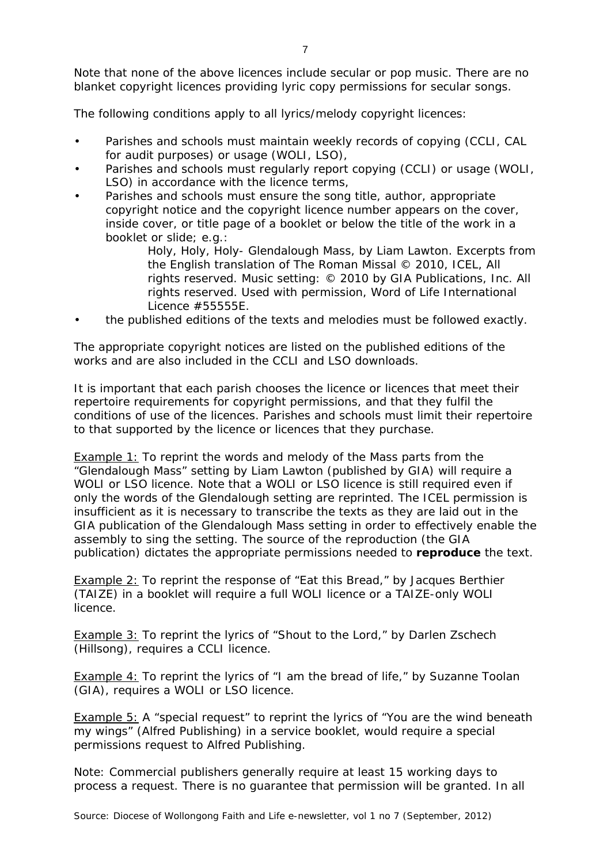Note that none of the above licences include secular or pop music. There are no blanket copyright licences providing lyric copy permissions for secular songs.

The following conditions apply to all lyrics/melody copyright licences:

- Parishes and schools must maintain weekly records of copying (CCLI, CAL for audit purposes) or usage (WOLI, LSO),
- Parishes and schools must regularly report copying (CCLI) or usage (WOLI, LSO) in accordance with the licence terms,
- Parishes and schools must ensure the song title, author, appropriate copyright notice and the copyright licence number appears on the cover, inside cover, or title page of a booklet or below the title of the work in a booklet or slide; e.g.:

*Holy, Holy, Holy- Glendalough Mass,* by Liam Lawton. Excerpts from the English translation of *The Roman Missal* © 2010, ICEL, All rights reserved. Music setting: © 2010 by GIA Publications, Inc. All rights reserved. Used with permission, Word of Life International Licence #55555E.

• the published editions of the texts and melodies must be followed exactly.

The appropriate copyright notices are listed on the published editions of the works and are also included in the CCLI and LSO downloads.

It is important that each parish chooses the licence or licences that meet their repertoire requirements for copyright permissions, and that they fulfil the conditions of use of the licences. Parishes and schools must limit their repertoire to that supported by the licence or licences that they purchase.

*Example 1:* To reprint the words and melody of the Mass parts from the "Glendalough Mass" setting by Liam Lawton (published by GIA) will require a WOLI or LSO licence. Note that a WOLI or LSO licence is still required even if only the words of the Glendalough setting are reprinted. The ICEL permission is insufficient as it is necessary to transcribe the texts as they are laid out in the GIA publication of the Glendalough Mass setting in order to effectively enable the assembly to sing the setting. The source of the reproduction (the GIA publication) dictates the appropriate permissions needed to **reproduce** the text.

*Example 2:* To reprint the response of "Eat this Bread," by Jacques Berthier (TAIZE) in a booklet will require a full WOLI licence or a TAIZE-only WOLI licence.

*Example 3:* To reprint the lyrics of "Shout to the Lord," by Darlen Zschech (Hillsong), requires a CCLI licence.

*Example 4:* To reprint the lyrics of "I am the bread of life," by Suzanne Toolan (GIA), requires a WOLI or LSO licence.

*Example 5:* A "special request" to reprint the lyrics of "You are the wind beneath my wings" (Alfred Publishing) in a service booklet, would require a special permissions request to Alfred Publishing.

Note: Commercial publishers generally require at least 15 working days to process a request. There is no guarantee that permission will be granted. In all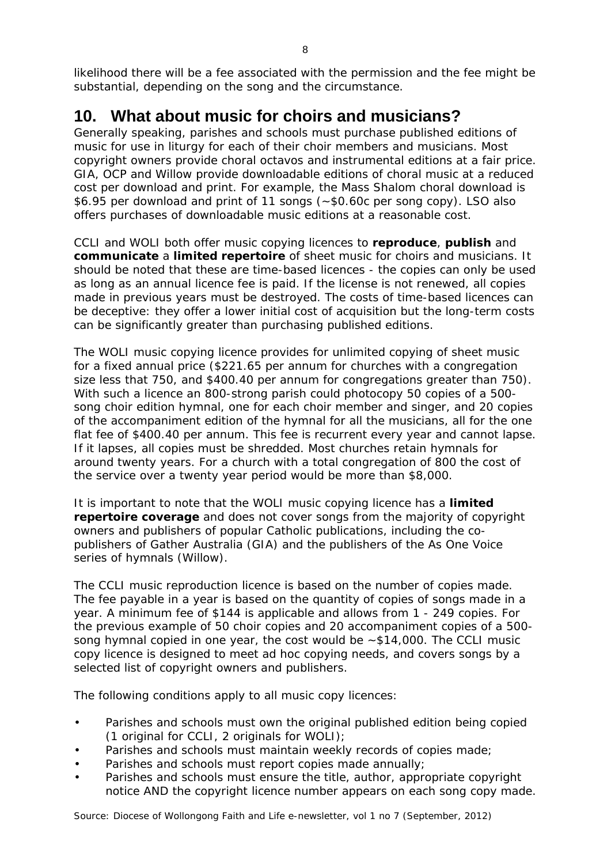likelihood there will be a fee associated with the permission and the fee might be substantial, depending on the song and the circumstance.

## **10. What about music for choirs and musicians?**

Generally speaking, parishes and schools must purchase published editions of music for use in liturgy for each of their choir members and musicians. Most copyright owners provide choral octavos and instrumental editions at a fair price. GIA, OCP and Willow provide downloadable editions of choral music at a reduced cost per download and print. For example, the Mass Shalom choral download is \$6.95 per download and print of 11 songs (~\$0.60c per song copy). LSO also offers purchases of downloadable music editions at a reasonable cost.

CCLI and WOLI both offer music copying licences to **reproduce**, **publish** and **communicate** a **limited repertoire** of sheet music for choirs and musicians. It should be noted that these are time-based licences - the copies can only be used as long as an annual licence fee is paid. If the license is not renewed, all copies made in previous years must be destroyed. The costs of time-based licences can be deceptive: they offer a lower initial cost of acquisition but the long-term costs can be significantly greater than purchasing published editions.

The WOLI music copying licence provides for unlimited copying of sheet music for a fixed annual price (\$221.65 per annum for churches with a congregation size less that 750, and \$400.40 per annum for congregations greater than 750). With such a licence an 800-strong parish could photocopy 50 copies of a 500 song choir edition hymnal, one for each choir member and singer, and 20 copies of the accompaniment edition of the hymnal for all the musicians, all for the one flat fee of \$400.40 per annum. This fee is recurrent every year and cannot lapse. If it lapses, all copies must be shredded. Most churches retain hymnals for around twenty years. For a church with a total congregation of 800 the cost of the service over a twenty year period would be more than \$8,000.

It is important to note that the WOLI music copying licence has a **limited repertoire coverage** and does not cover songs from the majority of copyright owners and publishers of popular Catholic publications, including the copublishers of Gather Australia (GIA) and the publishers of the As One Voice series of hymnals (Willow).

The CCLI music reproduction licence is based on the number of copies made. The fee payable in a year is based on the quantity of copies of songs made in a year. A minimum fee of \$144 is applicable and allows from 1 - 249 copies. For the previous example of 50 choir copies and 20 accompaniment copies of a 500 song hymnal copied in one year, the cost would be ~\$14,000. The CCLI music copy licence is designed to meet ad hoc copying needs, and covers songs by a selected list of copyright owners and publishers.

The following conditions apply to all music copy licences:

- Parishes and schools must own the original published edition being copied (1 original for CCLI, 2 originals for WOLI);
- Parishes and schools must maintain weekly records of copies made;
- Parishes and schools must report copies made annually;
- Parishes and schools must ensure the title, author, appropriate copyright notice AND the copyright licence number appears on each song copy made.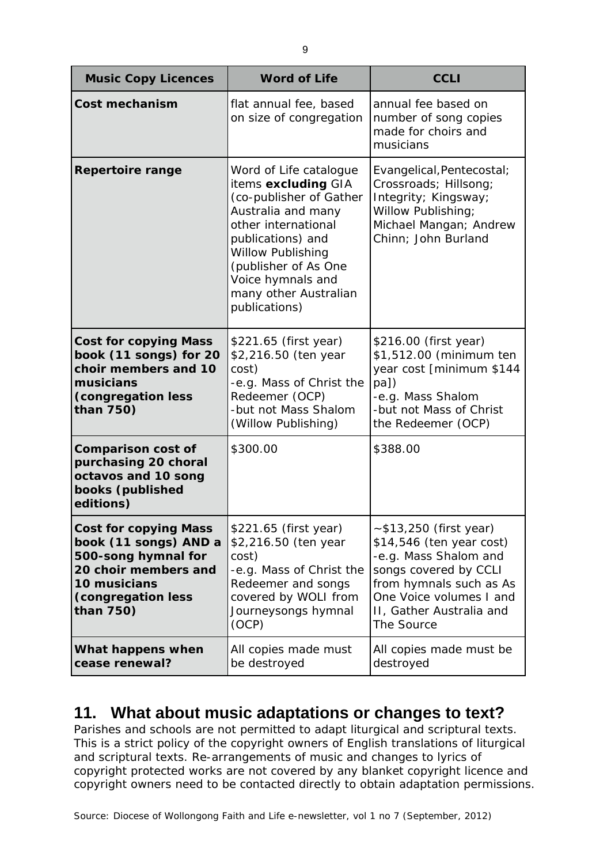| <b>Music Copy Licences</b>                                                                                                                              | <b>Word of Life</b>                                                                                                                                                                                                                                    | <b>CCLI</b>                                                                                                                                                                                             |
|---------------------------------------------------------------------------------------------------------------------------------------------------------|--------------------------------------------------------------------------------------------------------------------------------------------------------------------------------------------------------------------------------------------------------|---------------------------------------------------------------------------------------------------------------------------------------------------------------------------------------------------------|
| Cost mechanism                                                                                                                                          | flat annual fee, based<br>on size of congregation                                                                                                                                                                                                      | annual fee based on<br>number of song copies<br>made for choirs and<br>musicians                                                                                                                        |
| <b>Repertoire range</b>                                                                                                                                 | Word of Life catalogue<br>items excluding GIA<br>(co-publisher of Gather<br>Australia and many<br>other international<br>publications) and<br>Willow Publishing<br>(publisher of As One<br>Voice hymnals and<br>many other Australian<br>publications) | Evangelical, Pentecostal;<br>Crossroads; Hillsong;<br>Integrity; Kingsway;<br>Willow Publishing;<br>Michael Mangan; Andrew<br>Chinn; John Burland                                                       |
| <b>Cost for copying Mass</b><br>book (11 songs) for 20<br>choir members and 10<br>musicians<br>(congregation less<br>than 750)                          | \$221.65 (first year)<br>\$2,216.50 (ten year<br>cost)<br>-e.g. Mass of Christ the<br>Redeemer (OCP)<br>-but not Mass Shalom<br>(Willow Publishing)                                                                                                    | \$216.00 (first year)<br>\$1,512.00 (minimum ten<br>year cost [minimum \$144<br>pa])<br>-e.g. Mass Shalom<br>-but not Mass of Christ<br>the Redeemer (OCP)                                              |
| <b>Comparison cost of</b><br>purchasing 20 choral<br>octavos and 10 song<br>books (published<br>editions)                                               | \$300.00                                                                                                                                                                                                                                               | \$388.00                                                                                                                                                                                                |
| <b>Cost for copying Mass</b><br>book (11 songs) AND a<br>500-song hymnal for<br>20 choir members and<br>10 musicians<br>(congregation less<br>than 750) | \$221.65 (first year)<br>\$2,216.50 (ten year<br>cost)<br>-e.g. Mass of Christ the<br>Redeemer and songs<br>covered by WOLI from<br>Journeysongs hymnal<br>(OCP)                                                                                       | $-$ \$13,250 (first year)<br>\$14,546 (ten year cost)<br>-e.g. Mass Shalom and<br>songs covered by CCLI<br>from hymnals such as As<br>One Voice volumes I and<br>II, Gather Australia and<br>The Source |
| What happens when<br>cease renewal?                                                                                                                     | All copies made must<br>be destroyed                                                                                                                                                                                                                   | All copies made must be<br>destroyed                                                                                                                                                                    |

#### **11. What about music adaptations or changes to text?**

Parishes and schools are not permitted to adapt liturgical and scriptural texts. This is a strict policy of the copyright owners of English translations of liturgical and scriptural texts. Re-arrangements of music and changes to lyrics of copyright protected works are not covered by any blanket copyright licence and copyright owners need to be contacted directly to obtain adaptation permissions.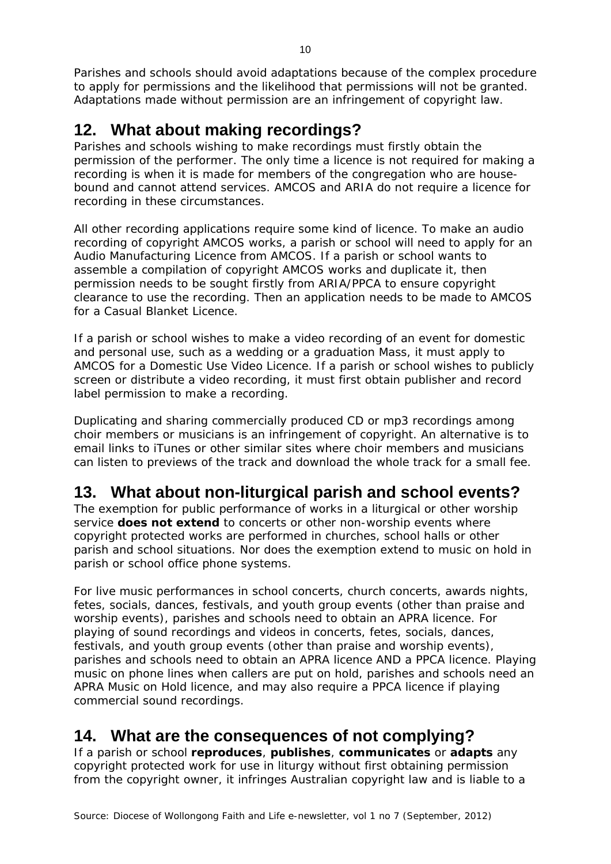Parishes and schools should avoid adaptations because of the complex procedure to apply for permissions and the likelihood that permissions will not be granted. Adaptations made without permission are an infringement of copyright law.

## **12. What about making recordings?**

Parishes and schools wishing to make recordings must firstly obtain the permission of the performer. The only time a licence is not required for making a recording is when it is made for members of the congregation who are housebound and cannot attend services. AMCOS and ARIA do not require a licence for recording in these circumstances.

All other recording applications require some kind of licence. To make an audio recording of copyright AMCOS works, a parish or school will need to apply for an Audio Manufacturing Licence from AMCOS. If a parish or school wants to assemble a compilation of copyright AMCOS works and duplicate it, then permission needs to be sought firstly from ARIA/PPCA to ensure copyright clearance to use the recording. Then an application needs to be made to AMCOS for a Casual Blanket Licence.

If a parish or school wishes to make a video recording of an event for domestic and personal use, such as a wedding or a graduation Mass, it must apply to AMCOS for a Domestic Use Video Licence. If a parish or school wishes to publicly screen or distribute a video recording, it must first obtain publisher and record label permission to make a recording.

Duplicating and sharing commercially produced CD or mp3 recordings among choir members or musicians is an infringement of copyright. An alternative is to email links to iTunes or other similar sites where choir members and musicians can listen to previews of the track and download the whole track for a small fee.

## **13. What about non-liturgical parish and school events?**

The exemption for public performance of works in a liturgical or other worship service **does not extend** to concerts or other non-worship events where copyright protected works are performed in churches, school halls or other parish and school situations. Nor does the exemption extend to music on hold in parish or school office phone systems.

For live music performances in school concerts, church concerts, awards nights, fetes, socials, dances, festivals, and youth group events (other than praise and worship events), parishes and schools need to obtain an APRA licence. For playing of sound recordings and videos in concerts, fetes, socials, dances, festivals, and youth group events (other than praise and worship events), parishes and schools need to obtain an APRA licence AND a PPCA licence. Playing music on phone lines when callers are put on hold, parishes and schools need an APRA Music on Hold licence, and may also require a PPCA licence if playing commercial sound recordings.

## **14. What are the consequences of not complying?**

If a parish or school **reproduces**, **publishes**, **communicates** or **adapts** any copyright protected work for use in liturgy without first obtaining permission from the copyright owner, it infringes Australian copyright law and is liable to a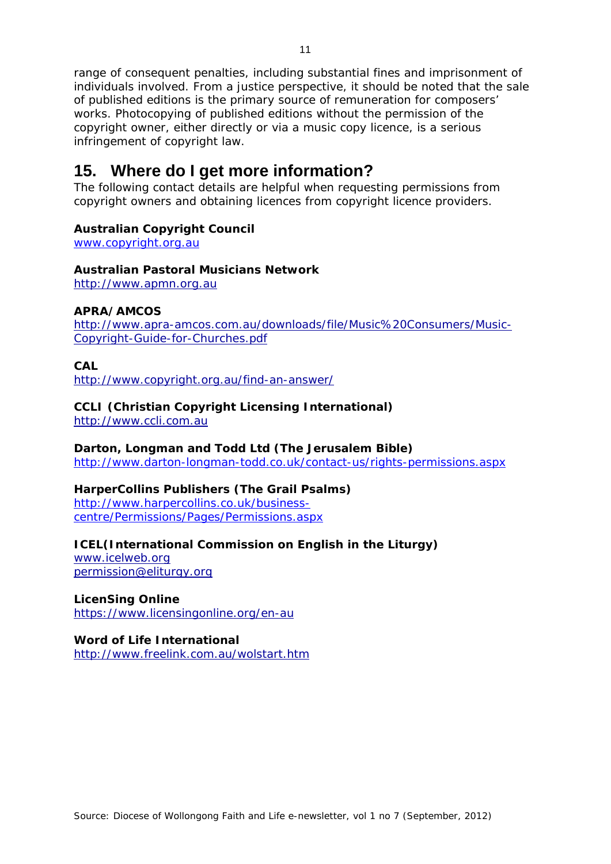range of consequent penalties, including substantial fines and imprisonment of individuals involved. From a justice perspective, it should be noted that the sale of published editions is the primary source of remuneration for composers' works. Photocopying of published editions without the permission of the copyright owner, either directly or via a music copy licence, is a serious infringement of copyright law.

#### **15. Where do I get more information?**

The following contact details are helpful when requesting permissions from copyright owners and obtaining licences from copyright licence providers.

#### **Australian Copyright Council**

www.copyright.org.au

#### **Australian Pastoral Musicians Network**

http://www.apmn.org.au

#### **APRA/AMCOS**

http://www.apra-amcos.com.au/downloads/file/Music%20Consumers/Music-Copyright-Guide-for-Churches.pdf

#### **CAL**

http://www.copyright.org.au/find-an-answer/

#### **CCLI (Christian Copyright Licensing International)**

http://www.ccli.com.au

#### **Darton, Longman and Todd Ltd (The Jerusalem Bible)**

http://www.darton-longman-todd.co.uk/contact-us/rights-permissions.aspx

#### **HarperCollins Publishers (The Grail Psalms)**

http://www.harpercollins.co.uk/businesscentre/Permissions/Pages/Permissions.aspx

#### **ICEL(International Commission on English in the Liturgy)**

www.icelweb.org permission@eliturgy.org

#### **LicenSing Online**

https://www.licensingonline.org/en-au

#### **Word of Life International**

http://www.freelink.com.au/wolstart.htm